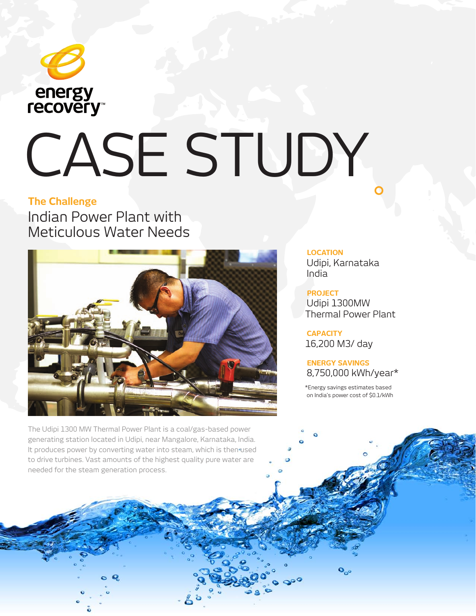

# CASE STUDY

## **The Challenge**

Indian Power Plant with Meticulous Water Needs



The Udipi 1300 MW Thermal Power Plant is a coal/gas-based power generating station located in Udipi, near Mangalore, Karnataka, India. It produces power by converting water into steam, which is then used to drive turbines. Vast amounts of the highest quality pure water are needed for the steam generation process.

**LOCATION**

Udipi, Karnataka India

**PROJECT** Udipi 1300MW Thermal Power Plant

**CAPACITY** 16,200 M3/ day

**ENERGY SAVINGS**  8,750,000 kWh/year\*

\*Energy savings estimates based on India's power cost of \$0.1/kWh